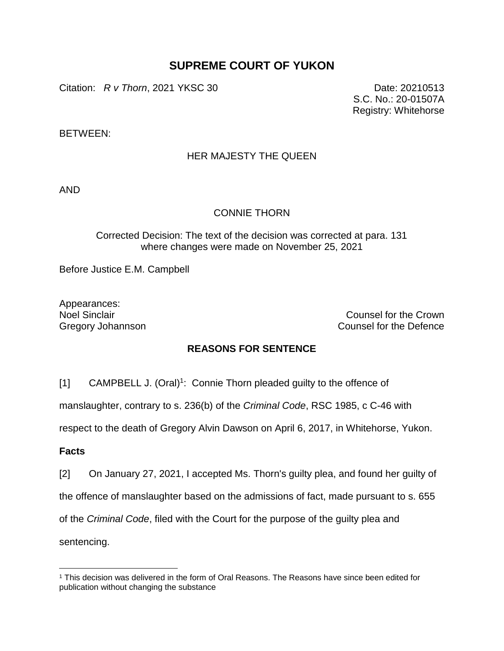# **SUPREME COURT OF YUKON**

Citation: *R v Thorn*, 2021 YKSC 30 Date: 20210513

S.C. No.: 20-01507A Registry: Whitehorse

BETWEEN:

# HER MAJESTY THE QUEEN

AND

# CONNIE THORN

### Corrected Decision: The text of the decision was corrected at para. 131 where changes were made on November 25, 2021

Before Justice E.M. Campbell

Appearances:

Noel Sinclair Counsel for the Crown Gregory Johannson **Counsel for the Defence** 

# **REASONS FOR SENTENCE**

[1] CAMPBELL J. (Oral)<sup>1</sup>: Connie Thorn pleaded guilty to the offence of

manslaughter, contrary to s. 236(b) of the *Criminal Code*, RSC 1985, c C-46 with

respect to the death of Gregory Alvin Dawson on April 6, 2017, in Whitehorse, Yukon.

### **Facts**

[2] On January 27, 2021, I accepted Ms. Thorn's guilty plea, and found her guilty of

the offence of manslaughter based on the admissions of fact, made pursuant to s. 655

of the *Criminal Code*, filed with the Court for the purpose of the guilty plea and

sentencing.

 $\overline{a}$ 

<sup>1</sup> This decision was delivered in the form of Oral Reasons. The Reasons have since been edited for publication without changing the substance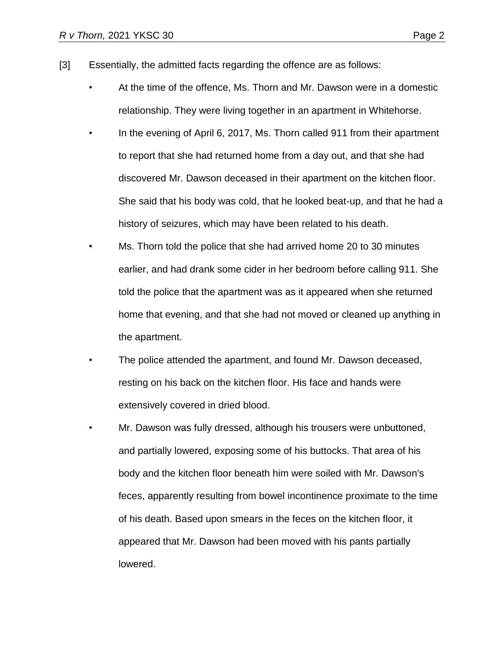- [3] Essentially, the admitted facts regarding the offence are as follows:
	- At the time of the offence, Ms. Thorn and Mr. Dawson were in a domestic relationship. They were living together in an apartment in Whitehorse.
	- In the evening of April 6, 2017, Ms. Thorn called 911 from their apartment to report that she had returned home from a day out, and that she had discovered Mr. Dawson deceased in their apartment on the kitchen floor. She said that his body was cold, that he looked beat-up, and that he had a history of seizures, which may have been related to his death.
	- Ms. Thorn told the police that she had arrived home 20 to 30 minutes earlier, and had drank some cider in her bedroom before calling 911. She told the police that the apartment was as it appeared when she returned home that evening, and that she had not moved or cleaned up anything in the apartment.
	- The police attended the apartment, and found Mr. Dawson deceased, resting on his back on the kitchen floor. His face and hands were extensively covered in dried blood.
	- Mr. Dawson was fully dressed, although his trousers were unbuttoned, and partially lowered, exposing some of his buttocks. That area of his body and the kitchen floor beneath him were soiled with Mr. Dawson's feces, apparently resulting from bowel incontinence proximate to the time of his death. Based upon smears in the feces on the kitchen floor, it appeared that Mr. Dawson had been moved with his pants partially lowered.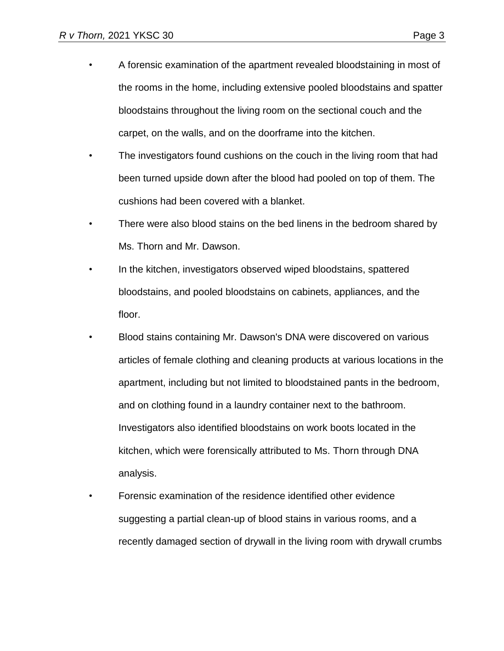- A forensic examination of the apartment revealed bloodstaining in most of the rooms in the home, including extensive pooled bloodstains and spatter bloodstains throughout the living room on the sectional couch and the carpet, on the walls, and on the doorframe into the kitchen.
- The investigators found cushions on the couch in the living room that had been turned upside down after the blood had pooled on top of them. The cushions had been covered with a blanket.
- There were also blood stains on the bed linens in the bedroom shared by Ms. Thorn and Mr. Dawson.
- In the kitchen, investigators observed wiped bloodstains, spattered bloodstains, and pooled bloodstains on cabinets, appliances, and the floor.
- Blood stains containing Mr. Dawson's DNA were discovered on various articles of female clothing and cleaning products at various locations in the apartment, including but not limited to bloodstained pants in the bedroom, and on clothing found in a laundry container next to the bathroom. Investigators also identified bloodstains on work boots located in the kitchen, which were forensically attributed to Ms. Thorn through DNA analysis.
- Forensic examination of the residence identified other evidence suggesting a partial clean-up of blood stains in various rooms, and a recently damaged section of drywall in the living room with drywall crumbs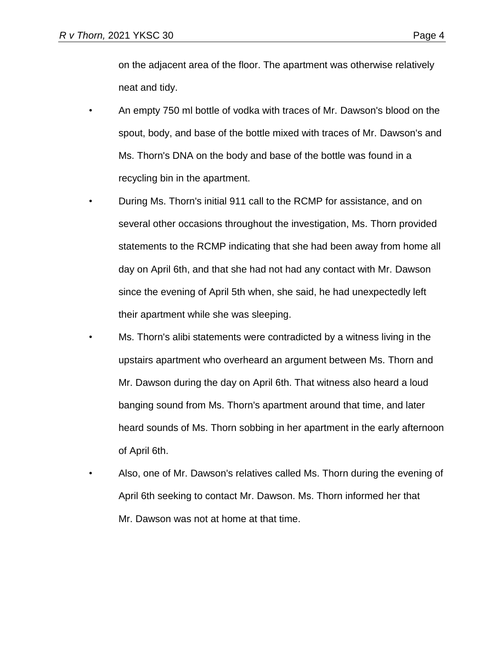on the adjacent area of the floor. The apartment was otherwise relatively neat and tidy.

- An empty 750 ml bottle of vodka with traces of Mr. Dawson's blood on the spout, body, and base of the bottle mixed with traces of Mr. Dawson's and Ms. Thorn's DNA on the body and base of the bottle was found in a recycling bin in the apartment.
- During Ms. Thorn's initial 911 call to the RCMP for assistance, and on several other occasions throughout the investigation, Ms. Thorn provided statements to the RCMP indicating that she had been away from home all day on April 6th, and that she had not had any contact with Mr. Dawson since the evening of April 5th when, she said, he had unexpectedly left their apartment while she was sleeping.
- Ms. Thorn's alibi statements were contradicted by a witness living in the upstairs apartment who overheard an argument between Ms. Thorn and Mr. Dawson during the day on April 6th. That witness also heard a loud banging sound from Ms. Thorn's apartment around that time, and later heard sounds of Ms. Thorn sobbing in her apartment in the early afternoon of April 6th.
- Also, one of Mr. Dawson's relatives called Ms. Thorn during the evening of April 6th seeking to contact Mr. Dawson. Ms. Thorn informed her that Mr. Dawson was not at home at that time.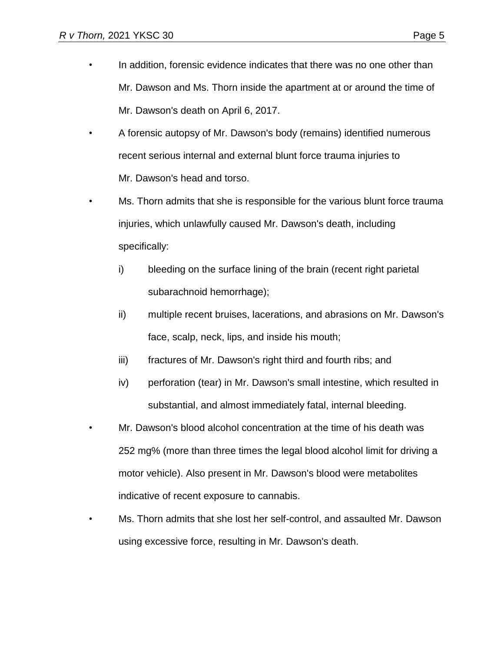- In addition, forensic evidence indicates that there was no one other than Mr. Dawson and Ms. Thorn inside the apartment at or around the time of Mr. Dawson's death on April 6, 2017.
- A forensic autopsy of Mr. Dawson's body (remains) identified numerous recent serious internal and external blunt force trauma injuries to Mr. Dawson's head and torso.
- Ms. Thorn admits that she is responsible for the various blunt force trauma injuries, which unlawfully caused Mr. Dawson's death, including specifically:
	- i) bleeding on the surface lining of the brain (recent right parietal subarachnoid hemorrhage);
	- ii) multiple recent bruises, lacerations, and abrasions on Mr. Dawson's face, scalp, neck, lips, and inside his mouth;
	- iii) fractures of Mr. Dawson's right third and fourth ribs; and
	- iv) perforation (tear) in Mr. Dawson's small intestine, which resulted in substantial, and almost immediately fatal, internal bleeding.
- Mr. Dawson's blood alcohol concentration at the time of his death was 252 mg% (more than three times the legal blood alcohol limit for driving a motor vehicle). Also present in Mr. Dawson's blood were metabolites indicative of recent exposure to cannabis.
- Ms. Thorn admits that she lost her self-control, and assaulted Mr. Dawson using excessive force, resulting in Mr. Dawson's death.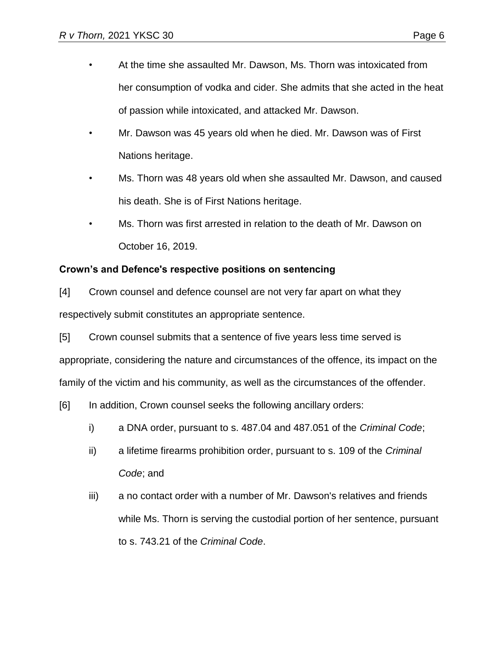- At the time she assaulted Mr. Dawson, Ms. Thorn was intoxicated from her consumption of vodka and cider. She admits that she acted in the heat of passion while intoxicated, and attacked Mr. Dawson.
- Mr. Dawson was 45 years old when he died. Mr. Dawson was of First Nations heritage.
- Ms. Thorn was 48 years old when she assaulted Mr. Dawson, and caused his death. She is of First Nations heritage.
- Ms. Thorn was first arrested in relation to the death of Mr. Dawson on October 16, 2019.

# **Crown's and Defence's respective positions on sentencing**

[4] Crown counsel and defence counsel are not very far apart on what they respectively submit constitutes an appropriate sentence.

[5] Crown counsel submits that a sentence of five years less time served is appropriate, considering the nature and circumstances of the offence, its impact on the family of the victim and his community, as well as the circumstances of the offender.

[6] In addition, Crown counsel seeks the following ancillary orders:

- i) a DNA order, pursuant to s. 487.04 and 487.051 of the *Criminal Code*;
- ii) a lifetime firearms prohibition order, pursuant to s. 109 of the *Criminal Code*; and
- iii) a no contact order with a number of Mr. Dawson's relatives and friends while Ms. Thorn is serving the custodial portion of her sentence, pursuant to s. 743.21 of the *Criminal Code*.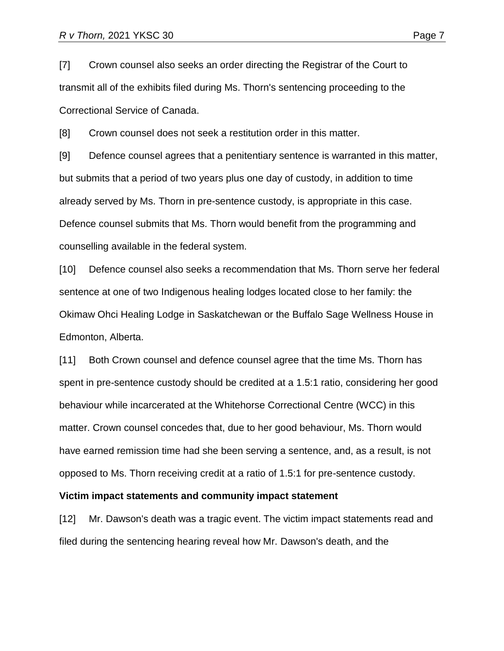[7] Crown counsel also seeks an order directing the Registrar of the Court to transmit all of the exhibits filed during Ms. Thorn's sentencing proceeding to the Correctional Service of Canada.

[8] Crown counsel does not seek a restitution order in this matter.

[9] Defence counsel agrees that a penitentiary sentence is warranted in this matter, but submits that a period of two years plus one day of custody, in addition to time already served by Ms. Thorn in pre-sentence custody, is appropriate in this case. Defence counsel submits that Ms. Thorn would benefit from the programming and counselling available in the federal system.

[10] Defence counsel also seeks a recommendation that Ms. Thorn serve her federal sentence at one of two Indigenous healing lodges located close to her family: the Okimaw Ohci Healing Lodge in Saskatchewan or the Buffalo Sage Wellness House in Edmonton, Alberta.

[11] Both Crown counsel and defence counsel agree that the time Ms. Thorn has spent in pre-sentence custody should be credited at a 1.5:1 ratio, considering her good behaviour while incarcerated at the Whitehorse Correctional Centre (WCC) in this matter. Crown counsel concedes that, due to her good behaviour, Ms. Thorn would have earned remission time had she been serving a sentence, and, as a result, is not opposed to Ms. Thorn receiving credit at a ratio of 1.5:1 for pre-sentence custody.

#### **Victim impact statements and community impact statement**

[12] Mr. Dawson's death was a tragic event. The victim impact statements read and filed during the sentencing hearing reveal how Mr. Dawson's death, and the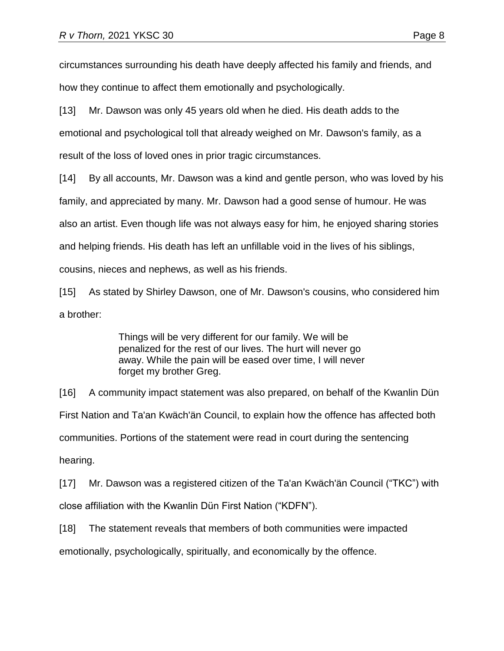circumstances surrounding his death have deeply affected his family and friends, and how they continue to affect them emotionally and psychologically.

[13] Mr. Dawson was only 45 years old when he died. His death adds to the emotional and psychological toll that already weighed on Mr. Dawson's family, as a result of the loss of loved ones in prior tragic circumstances.

[14] By all accounts, Mr. Dawson was a kind and gentle person, who was loved by his family, and appreciated by many. Mr. Dawson had a good sense of humour. He was also an artist. Even though life was not always easy for him, he enjoyed sharing stories and helping friends. His death has left an unfillable void in the lives of his siblings, cousins, nieces and nephews, as well as his friends.

[15] As stated by Shirley Dawson, one of Mr. Dawson's cousins, who considered him a brother:

> Things will be very different for our family. We will be penalized for the rest of our lives. The hurt will never go away. While the pain will be eased over time, I will never forget my brother Greg.

[16] A community impact statement was also prepared, on behalf of the Kwanlin Dün First Nation and Ta'an Kwäch'än Council, to explain how the offence has affected both communities. Portions of the statement were read in court during the sentencing hearing.

[17] Mr. Dawson was a registered citizen of the Ta'an Kwäch'än Council ("TKC") with close affiliation with the Kwanlin Dün First Nation ("KDFN").

[18] The statement reveals that members of both communities were impacted emotionally, psychologically, spiritually, and economically by the offence.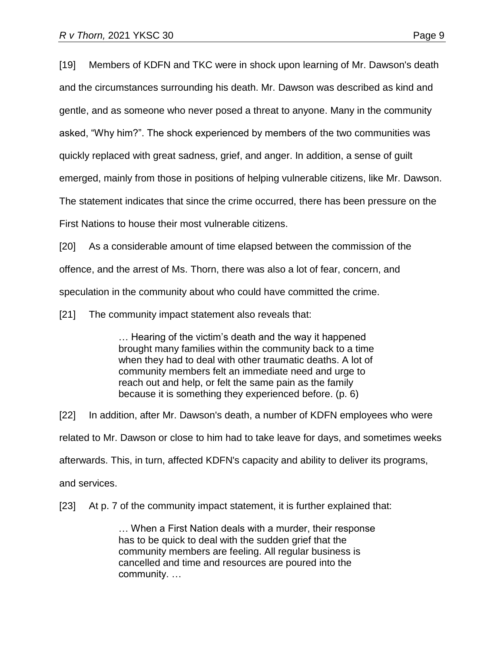[19] Members of KDFN and TKC were in shock upon learning of Mr. Dawson's death and the circumstances surrounding his death. Mr. Dawson was described as kind and gentle, and as someone who never posed a threat to anyone. Many in the community asked, "Why him?". The shock experienced by members of the two communities was quickly replaced with great sadness, grief, and anger. In addition, a sense of guilt emerged, mainly from those in positions of helping vulnerable citizens, like Mr. Dawson. The statement indicates that since the crime occurred, there has been pressure on the

First Nations to house their most vulnerable citizens.

[20] As a considerable amount of time elapsed between the commission of the offence, and the arrest of Ms. Thorn, there was also a lot of fear, concern, and speculation in the community about who could have committed the crime.

[21] The community impact statement also reveals that:

… Hearing of the victim's death and the way it happened brought many families within the community back to a time when they had to deal with other traumatic deaths. A lot of community members felt an immediate need and urge to reach out and help, or felt the same pain as the family because it is something they experienced before. (p. 6)

[22] In addition, after Mr. Dawson's death, a number of KDFN employees who were related to Mr. Dawson or close to him had to take leave for days, and sometimes weeks afterwards. This, in turn, affected KDFN's capacity and ability to deliver its programs, and services.

[23] At p. 7 of the community impact statement, it is further explained that:

… When a First Nation deals with a murder, their response has to be quick to deal with the sudden grief that the community members are feeling. All regular business is cancelled and time and resources are poured into the community. …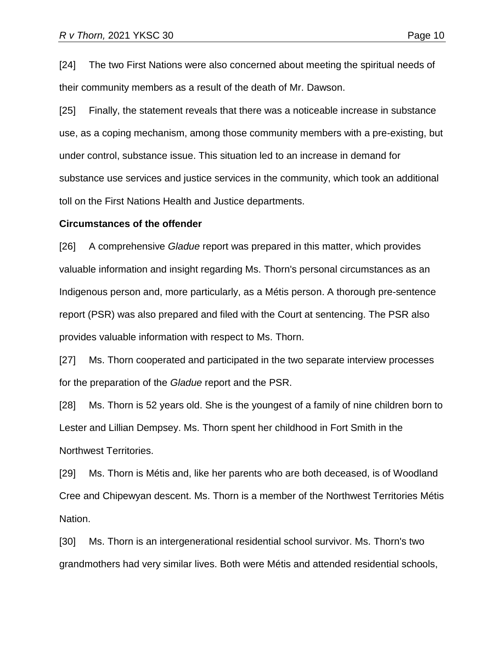[24] The two First Nations were also concerned about meeting the spiritual needs of their community members as a result of the death of Mr. Dawson.

[25] Finally, the statement reveals that there was a noticeable increase in substance use, as a coping mechanism, among those community members with a pre-existing, but under control, substance issue. This situation led to an increase in demand for substance use services and justice services in the community, which took an additional toll on the First Nations Health and Justice departments.

#### **Circumstances of the offender**

[26] A comprehensive *Gladue* report was prepared in this matter, which provides valuable information and insight regarding Ms. Thorn's personal circumstances as an Indigenous person and, more particularly, as a Métis person. A thorough pre-sentence report (PSR) was also prepared and filed with the Court at sentencing. The PSR also provides valuable information with respect to Ms. Thorn.

[27] Ms. Thorn cooperated and participated in the two separate interview processes for the preparation of the *Gladue* report and the PSR.

[28] Ms. Thorn is 52 years old. She is the youngest of a family of nine children born to Lester and Lillian Dempsey. Ms. Thorn spent her childhood in Fort Smith in the Northwest Territories.

[29] Ms. Thorn is Métis and, like her parents who are both deceased, is of Woodland Cree and Chipewyan descent. Ms. Thorn is a member of the Northwest Territories Métis Nation.

[30] Ms. Thorn is an intergenerational residential school survivor. Ms. Thorn's two grandmothers had very similar lives. Both were Métis and attended residential schools,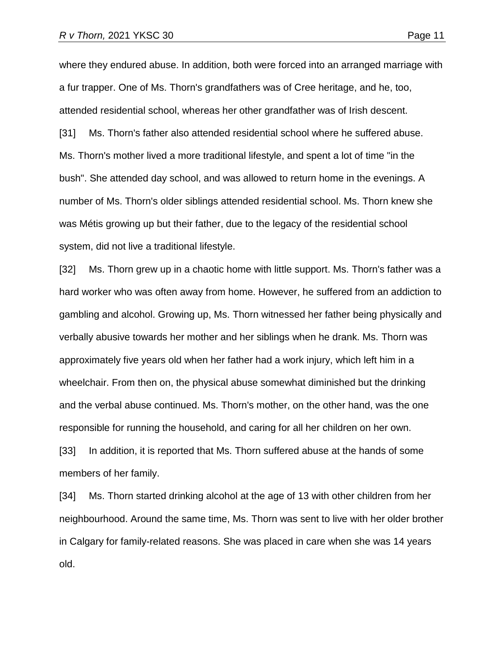where they endured abuse. In addition, both were forced into an arranged marriage with a fur trapper. One of Ms. Thorn's grandfathers was of Cree heritage, and he, too, attended residential school, whereas her other grandfather was of Irish descent. [31] Ms. Thorn's father also attended residential school where he suffered abuse. Ms. Thorn's mother lived a more traditional lifestyle, and spent a lot of time "in the bush". She attended day school, and was allowed to return home in the evenings. A number of Ms. Thorn's older siblings attended residential school. Ms. Thorn knew she was Métis growing up but their father, due to the legacy of the residential school system, did not live a traditional lifestyle.

[32] Ms. Thorn grew up in a chaotic home with little support. Ms. Thorn's father was a hard worker who was often away from home. However, he suffered from an addiction to gambling and alcohol. Growing up, Ms. Thorn witnessed her father being physically and verbally abusive towards her mother and her siblings when he drank. Ms. Thorn was approximately five years old when her father had a work injury, which left him in a wheelchair. From then on, the physical abuse somewhat diminished but the drinking and the verbal abuse continued. Ms. Thorn's mother, on the other hand, was the one responsible for running the household, and caring for all her children on her own. [33] In addition, it is reported that Ms. Thorn suffered abuse at the hands of some members of her family.

[34] Ms. Thorn started drinking alcohol at the age of 13 with other children from her neighbourhood. Around the same time, Ms. Thorn was sent to live with her older brother in Calgary for family-related reasons. She was placed in care when she was 14 years old.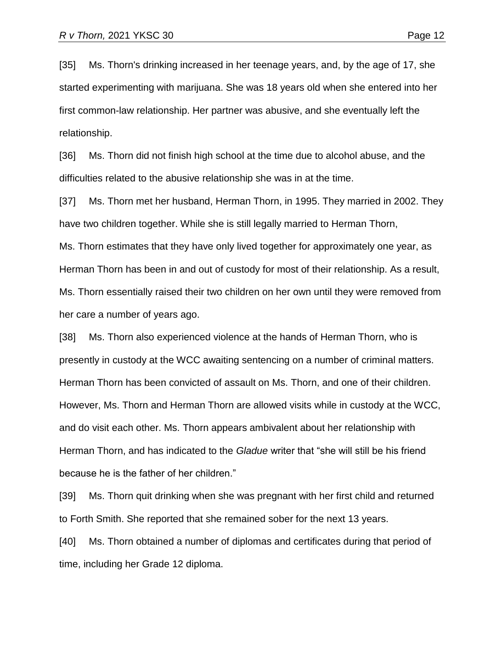[35] Ms. Thorn's drinking increased in her teenage years, and, by the age of 17, she started experimenting with marijuana. She was 18 years old when she entered into her first common-law relationship. Her partner was abusive, and she eventually left the relationship.

[36] Ms. Thorn did not finish high school at the time due to alcohol abuse, and the difficulties related to the abusive relationship she was in at the time.

[37] Ms. Thorn met her husband, Herman Thorn, in 1995. They married in 2002. They have two children together. While she is still legally married to Herman Thorn, Ms. Thorn estimates that they have only lived together for approximately one year, as Herman Thorn has been in and out of custody for most of their relationship. As a result, Ms. Thorn essentially raised their two children on her own until they were removed from her care a number of years ago.

[38] Ms. Thorn also experienced violence at the hands of Herman Thorn, who is presently in custody at the WCC awaiting sentencing on a number of criminal matters. Herman Thorn has been convicted of assault on Ms. Thorn, and one of their children. However, Ms. Thorn and Herman Thorn are allowed visits while in custody at the WCC, and do visit each other. Ms. Thorn appears ambivalent about her relationship with Herman Thorn, and has indicated to the *Gladue* writer that "she will still be his friend because he is the father of her children."

[39] Ms. Thorn quit drinking when she was pregnant with her first child and returned to Forth Smith. She reported that she remained sober for the next 13 years.

[40] Ms. Thorn obtained a number of diplomas and certificates during that period of time, including her Grade 12 diploma.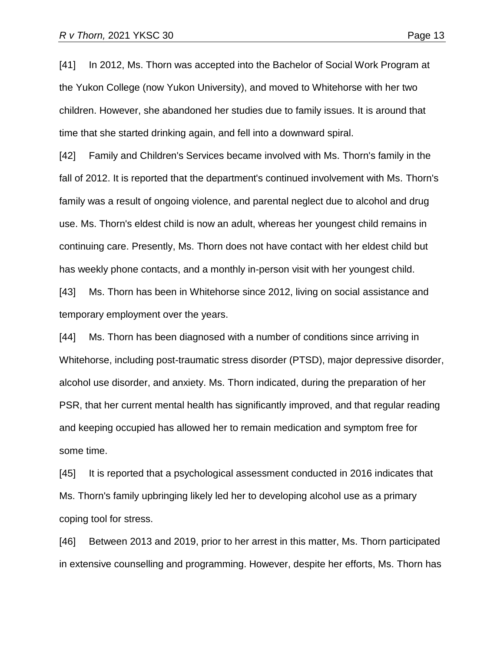[41] In 2012, Ms. Thorn was accepted into the Bachelor of Social Work Program at the Yukon College (now Yukon University), and moved to Whitehorse with her two children. However, she abandoned her studies due to family issues. It is around that time that she started drinking again, and fell into a downward spiral.

[42] Family and Children's Services became involved with Ms. Thorn's family in the fall of 2012. It is reported that the department's continued involvement with Ms. Thorn's family was a result of ongoing violence, and parental neglect due to alcohol and drug use. Ms. Thorn's eldest child is now an adult, whereas her youngest child remains in continuing care. Presently, Ms. Thorn does not have contact with her eldest child but has weekly phone contacts, and a monthly in-person visit with her youngest child.

[43] Ms. Thorn has been in Whitehorse since 2012, living on social assistance and temporary employment over the years.

[44] Ms. Thorn has been diagnosed with a number of conditions since arriving in Whitehorse, including post-traumatic stress disorder (PTSD), major depressive disorder, alcohol use disorder, and anxiety. Ms. Thorn indicated, during the preparation of her PSR, that her current mental health has significantly improved, and that regular reading and keeping occupied has allowed her to remain medication and symptom free for some time.

[45] It is reported that a psychological assessment conducted in 2016 indicates that Ms. Thorn's family upbringing likely led her to developing alcohol use as a primary coping tool for stress.

[46] Between 2013 and 2019, prior to her arrest in this matter, Ms. Thorn participated in extensive counselling and programming. However, despite her efforts, Ms. Thorn has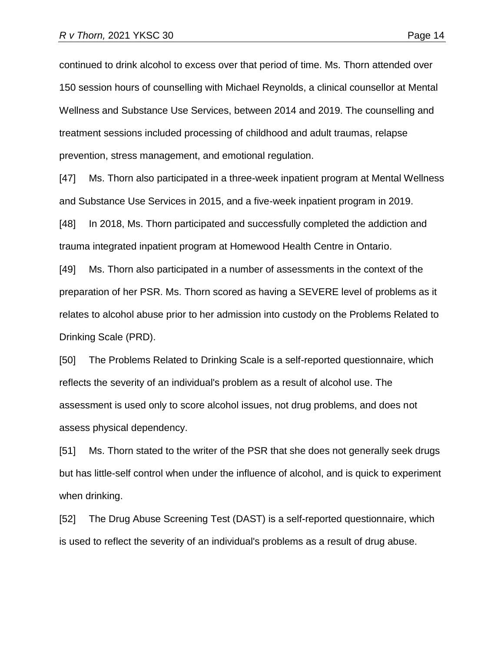continued to drink alcohol to excess over that period of time. Ms. Thorn attended over 150 session hours of counselling with Michael Reynolds, a clinical counsellor at Mental Wellness and Substance Use Services, between 2014 and 2019. The counselling and treatment sessions included processing of childhood and adult traumas, relapse prevention, stress management, and emotional regulation.

[47] Ms. Thorn also participated in a three-week inpatient program at Mental Wellness and Substance Use Services in 2015, and a five-week inpatient program in 2019.

[48] In 2018, Ms. Thorn participated and successfully completed the addiction and trauma integrated inpatient program at Homewood Health Centre in Ontario.

[49] Ms. Thorn also participated in a number of assessments in the context of the preparation of her PSR. Ms. Thorn scored as having a SEVERE level of problems as it relates to alcohol abuse prior to her admission into custody on the Problems Related to Drinking Scale (PRD).

[50] The Problems Related to Drinking Scale is a self-reported questionnaire, which reflects the severity of an individual's problem as a result of alcohol use. The assessment is used only to score alcohol issues, not drug problems, and does not assess physical dependency.

[51] Ms. Thorn stated to the writer of the PSR that she does not generally seek drugs but has little-self control when under the influence of alcohol, and is quick to experiment when drinking.

[52] The Drug Abuse Screening Test (DAST) is a self-reported questionnaire, which is used to reflect the severity of an individual's problems as a result of drug abuse.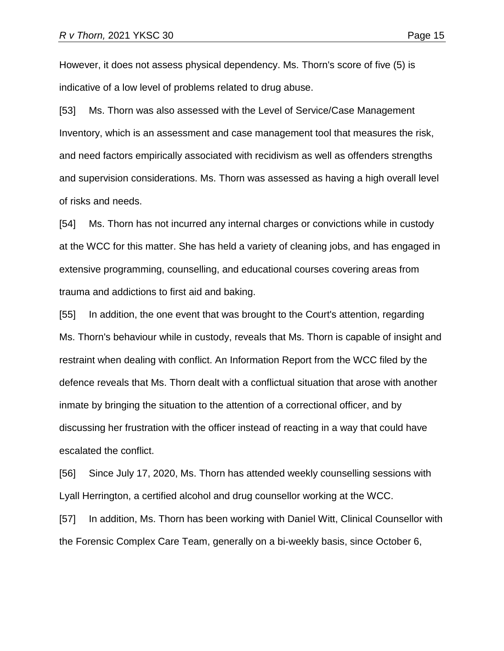However, it does not assess physical dependency. Ms. Thorn's score of five (5) is indicative of a low level of problems related to drug abuse.

[53] Ms. Thorn was also assessed with the Level of Service/Case Management Inventory, which is an assessment and case management tool that measures the risk, and need factors empirically associated with recidivism as well as offenders strengths and supervision considerations. Ms. Thorn was assessed as having a high overall level of risks and needs.

[54] Ms. Thorn has not incurred any internal charges or convictions while in custody at the WCC for this matter. She has held a variety of cleaning jobs, and has engaged in extensive programming, counselling, and educational courses covering areas from trauma and addictions to first aid and baking.

[55] In addition, the one event that was brought to the Court's attention, regarding Ms. Thorn's behaviour while in custody, reveals that Ms. Thorn is capable of insight and restraint when dealing with conflict. An Information Report from the WCC filed by the defence reveals that Ms. Thorn dealt with a conflictual situation that arose with another inmate by bringing the situation to the attention of a correctional officer, and by discussing her frustration with the officer instead of reacting in a way that could have escalated the conflict.

[56] Since July 17, 2020, Ms. Thorn has attended weekly counselling sessions with Lyall Herrington, a certified alcohol and drug counsellor working at the WCC.

[57] In addition, Ms. Thorn has been working with Daniel Witt, Clinical Counsellor with the Forensic Complex Care Team, generally on a bi-weekly basis, since October 6,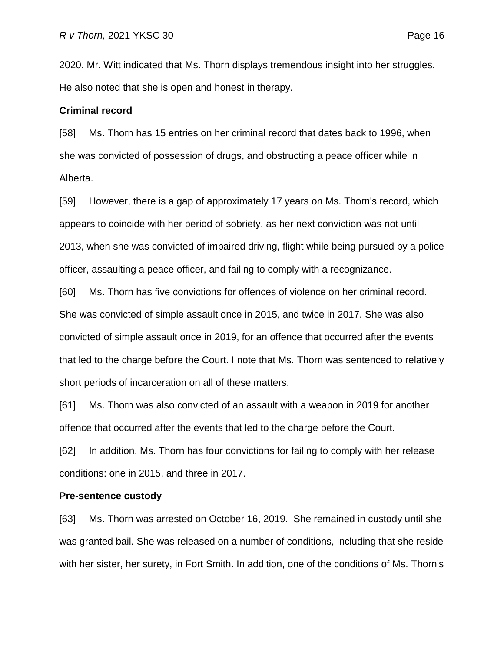2020. Mr. Witt indicated that Ms. Thorn displays tremendous insight into her struggles. He also noted that she is open and honest in therapy.

#### **Criminal record**

[58] Ms. Thorn has 15 entries on her criminal record that dates back to 1996, when she was convicted of possession of drugs, and obstructing a peace officer while in Alberta.

[59] However, there is a gap of approximately 17 years on Ms. Thorn's record, which appears to coincide with her period of sobriety, as her next conviction was not until 2013, when she was convicted of impaired driving, flight while being pursued by a police officer, assaulting a peace officer, and failing to comply with a recognizance.

[60] Ms. Thorn has five convictions for offences of violence on her criminal record. She was convicted of simple assault once in 2015, and twice in 2017. She was also convicted of simple assault once in 2019, for an offence that occurred after the events that led to the charge before the Court. I note that Ms. Thorn was sentenced to relatively short periods of incarceration on all of these matters.

[61] Ms. Thorn was also convicted of an assault with a weapon in 2019 for another offence that occurred after the events that led to the charge before the Court.

[62] In addition, Ms. Thorn has four convictions for failing to comply with her release conditions: one in 2015, and three in 2017.

#### **Pre-sentence custody**

[63] Ms. Thorn was arrested on October 16, 2019. She remained in custody until she was granted bail. She was released on a number of conditions, including that she reside with her sister, her surety, in Fort Smith. In addition, one of the conditions of Ms. Thorn's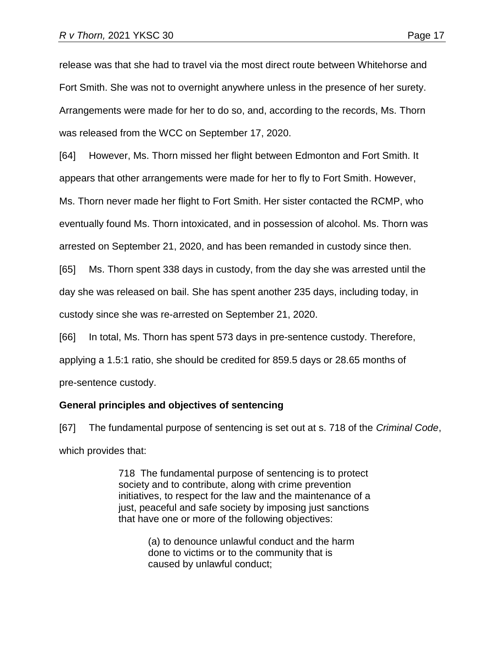release was that she had to travel via the most direct route between Whitehorse and Fort Smith. She was not to overnight anywhere unless in the presence of her surety. Arrangements were made for her to do so, and, according to the records, Ms. Thorn was released from the WCC on September 17, 2020.

[64] However, Ms. Thorn missed her flight between Edmonton and Fort Smith. It

appears that other arrangements were made for her to fly to Fort Smith. However,

Ms. Thorn never made her flight to Fort Smith. Her sister contacted the RCMP, who eventually found Ms. Thorn intoxicated, and in possession of alcohol. Ms. Thorn was arrested on September 21, 2020, and has been remanded in custody since then.

[65] Ms. Thorn spent 338 days in custody, from the day she was arrested until the day she was released on bail. She has spent another 235 days, including today, in custody since she was re-arrested on September 21, 2020.

[66] In total, Ms. Thorn has spent 573 days in pre-sentence custody. Therefore,

applying a 1.5:1 ratio, she should be credited for 859.5 days or 28.65 months of

pre-sentence custody.

# **General principles and objectives of sentencing**

[67] The fundamental purpose of sentencing is set out at s. 718 of the *Criminal Code*, which provides that:

> 718 The fundamental purpose of sentencing is to protect society and to contribute, along with crime prevention initiatives, to respect for the law and the maintenance of a just, peaceful and safe society by imposing just sanctions that have one or more of the following objectives:

> > (a) to denounce unlawful conduct and the harm done to victims or to the community that is caused by unlawful conduct;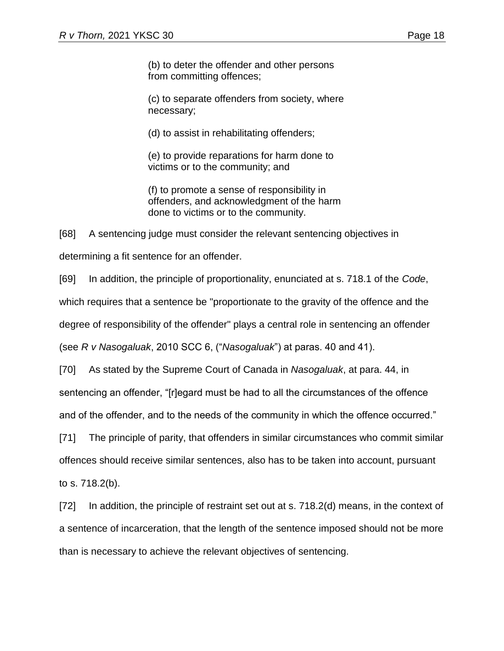(b) to deter the offender and other persons from committing offences;

(c) to separate offenders from society, where necessary;

(d) to assist in rehabilitating offenders;

(e) to provide reparations for harm done to victims or to the community; and

(f) to promote a sense of responsibility in offenders, and acknowledgment of the harm done to victims or to the community.

[68] A sentencing judge must consider the relevant sentencing objectives in

determining a fit sentence for an offender.

[69] In addition, the principle of proportionality, enunciated at s. 718.1 of the *Code*,

which requires that a sentence be "proportionate to the gravity of the offence and the

degree of responsibility of the offender" plays a central role in sentencing an offender

(see *R v Nasogaluak*, 2010 SCC 6, ("*Nasogaluak*") at paras. 40 and 41).

[70] As stated by the Supreme Court of Canada in *Nasogaluak*, at para. 44, in

sentencing an offender, "[r]egard must be had to all the circumstances of the offence

and of the offender, and to the needs of the community in which the offence occurred."

[71] The principle of parity, that offenders in similar circumstances who commit similar offences should receive similar sentences, also has to be taken into account, pursuant to s. 718.2(b).

[72] In addition, the principle of restraint set out at s. 718.2(d) means, in the context of a sentence of incarceration, that the length of the sentence imposed should not be more than is necessary to achieve the relevant objectives of sentencing.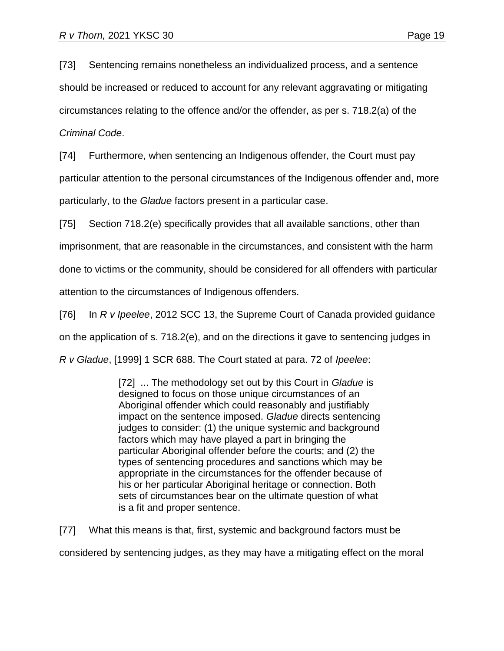[73] Sentencing remains nonetheless an individualized process, and a sentence should be increased or reduced to account for any relevant aggravating or mitigating circumstances relating to the offence and/or the offender, as per s. 718.2(a) of the *Criminal Code*.

[74] Furthermore, when sentencing an Indigenous offender, the Court must pay particular attention to the personal circumstances of the Indigenous offender and, more particularly, to the *Gladue* factors present in a particular case.

[75] Section 718.2(e) specifically provides that all available sanctions, other than imprisonment, that are reasonable in the circumstances, and consistent with the harm done to victims or the community, should be considered for all offenders with particular

attention to the circumstances of Indigenous offenders.

[76] In *R v Ipeelee*, 2012 SCC 13, the Supreme Court of Canada provided guidance on the application of s. 718.2(e), and on the directions it gave to sentencing judges in *R v Gladue*, [1999] 1 SCR 688. The Court stated at para. 72 of *Ipeelee*:

> [72] ... The methodology set out by this Court in *Gladue* is designed to focus on those unique circumstances of an Aboriginal offender which could reasonably and justifiably impact on the sentence imposed. *Gladue* directs sentencing judges to consider: (1) the unique systemic and background factors which may have played a part in bringing the particular Aboriginal offender before the courts; and (2) the types of sentencing procedures and sanctions which may be appropriate in the circumstances for the offender because of his or her particular Aboriginal heritage or connection. Both sets of circumstances bear on the ultimate question of what is a fit and proper sentence.

[77] What this means is that, first, systemic and background factors must be considered by sentencing judges, as they may have a mitigating effect on the moral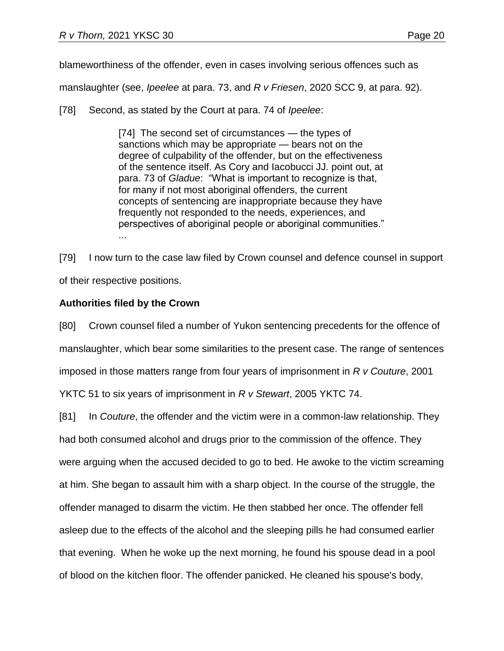blameworthiness of the offender, even in cases involving serious offences such as

manslaughter (see, *Ipeelee* at para. 73, and *R v Friesen*, 2020 SCC 9, at para. 92).

[78] Second, as stated by the Court at para. 74 of *Ipeelee*:

[74] The second set of circumstances — the types of sanctions which may be appropriate — bears not on the degree of culpability of the offender, but on the effectiveness of the sentence itself. As Cory and Iacobucci JJ. point out, at para. 73 of *Gladue*: "What is important to recognize is that, for many if not most aboriginal offenders, the current concepts of sentencing are inappropriate because they have frequently not responded to the needs, experiences, and perspectives of aboriginal people or aboriginal communities." ...

[79] I now turn to the case law filed by Crown counsel and defence counsel in support of their respective positions.

### **Authorities filed by the Crown**

[80] Crown counsel filed a number of Yukon sentencing precedents for the offence of manslaughter, which bear some similarities to the present case. The range of sentences imposed in those matters range from four years of imprisonment in *R v Couture*, 2001 YKTC 51 to six years of imprisonment in *R v Stewart*, 2005 YKTC 74.

[81] In *Couture*, the offender and the victim were in a common-law relationship. They had both consumed alcohol and drugs prior to the commission of the offence. They were arguing when the accused decided to go to bed. He awoke to the victim screaming at him. She began to assault him with a sharp object. In the course of the struggle, the offender managed to disarm the victim. He then stabbed her once. The offender fell asleep due to the effects of the alcohol and the sleeping pills he had consumed earlier that evening. When he woke up the next morning, he found his spouse dead in a pool of blood on the kitchen floor. The offender panicked. He cleaned his spouse's body,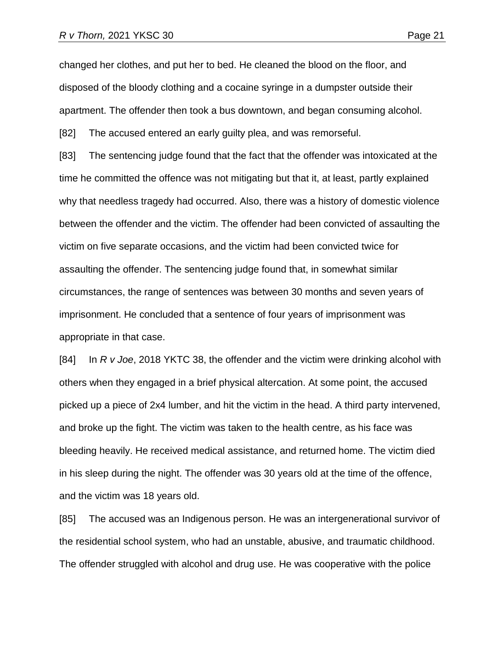changed her clothes, and put her to bed. He cleaned the blood on the floor, and disposed of the bloody clothing and a cocaine syringe in a dumpster outside their apartment. The offender then took a bus downtown, and began consuming alcohol.

[82] The accused entered an early guilty plea, and was remorseful.

[83] The sentencing judge found that the fact that the offender was intoxicated at the time he committed the offence was not mitigating but that it, at least, partly explained why that needless tragedy had occurred. Also, there was a history of domestic violence between the offender and the victim. The offender had been convicted of assaulting the victim on five separate occasions, and the victim had been convicted twice for assaulting the offender. The sentencing judge found that, in somewhat similar circumstances, the range of sentences was between 30 months and seven years of imprisonment. He concluded that a sentence of four years of imprisonment was appropriate in that case.

[84] In *R v Joe*, 2018 YKTC 38, the offender and the victim were drinking alcohol with others when they engaged in a brief physical altercation. At some point, the accused picked up a piece of 2x4 lumber, and hit the victim in the head. A third party intervened, and broke up the fight. The victim was taken to the health centre, as his face was bleeding heavily. He received medical assistance, and returned home. The victim died in his sleep during the night. The offender was 30 years old at the time of the offence, and the victim was 18 years old.

[85] The accused was an Indigenous person. He was an intergenerational survivor of the residential school system, who had an unstable, abusive, and traumatic childhood. The offender struggled with alcohol and drug use. He was cooperative with the police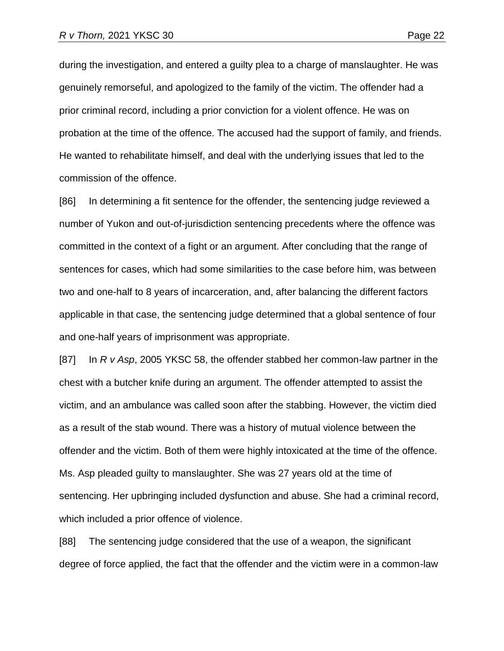during the investigation, and entered a guilty plea to a charge of manslaughter. He was genuinely remorseful, and apologized to the family of the victim. The offender had a prior criminal record, including a prior conviction for a violent offence. He was on probation at the time of the offence. The accused had the support of family, and friends. He wanted to rehabilitate himself, and deal with the underlying issues that led to the commission of the offence.

[86] In determining a fit sentence for the offender, the sentencing judge reviewed a number of Yukon and out-of-jurisdiction sentencing precedents where the offence was committed in the context of a fight or an argument. After concluding that the range of sentences for cases, which had some similarities to the case before him, was between two and one-half to 8 years of incarceration, and, after balancing the different factors applicable in that case, the sentencing judge determined that a global sentence of four and one-half years of imprisonment was appropriate.

[87] In *R v Asp*, 2005 YKSC 58, the offender stabbed her common-law partner in the chest with a butcher knife during an argument. The offender attempted to assist the victim, and an ambulance was called soon after the stabbing. However, the victim died as a result of the stab wound. There was a history of mutual violence between the offender and the victim. Both of them were highly intoxicated at the time of the offence. Ms. Asp pleaded guilty to manslaughter. She was 27 years old at the time of sentencing. Her upbringing included dysfunction and abuse. She had a criminal record, which included a prior offence of violence.

[88] The sentencing judge considered that the use of a weapon, the significant degree of force applied, the fact that the offender and the victim were in a common-law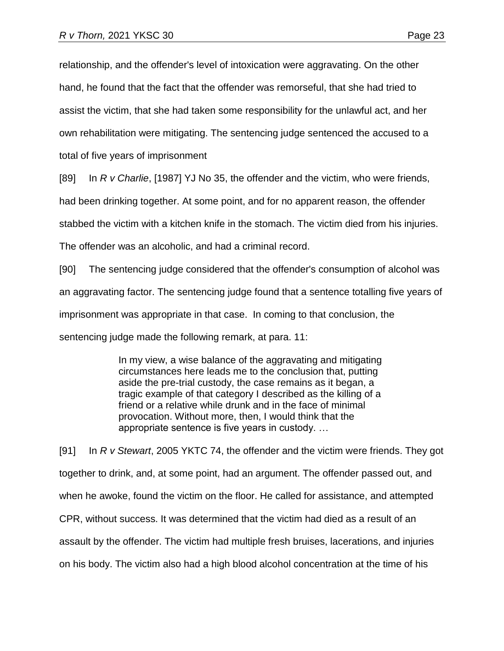relationship, and the offender's level of intoxication were aggravating. On the other hand, he found that the fact that the offender was remorseful, that she had tried to assist the victim, that she had taken some responsibility for the unlawful act, and her own rehabilitation were mitigating. The sentencing judge sentenced the accused to a total of five years of imprisonment

[89] In *R v Charlie*, [1987] YJ No 35, the offender and the victim, who were friends,

had been drinking together. At some point, and for no apparent reason, the offender

stabbed the victim with a kitchen knife in the stomach. The victim died from his injuries.

The offender was an alcoholic, and had a criminal record.

[90] The sentencing judge considered that the offender's consumption of alcohol was an aggravating factor. The sentencing judge found that a sentence totalling five years of imprisonment was appropriate in that case. In coming to that conclusion, the sentencing judge made the following remark, at para. 11:

> In my view, a wise balance of the aggravating and mitigating circumstances here leads me to the conclusion that, putting aside the pre-trial custody, the case remains as it began, a tragic example of that category I described as the killing of a friend or a relative while drunk and in the face of minimal provocation. Without more, then, I would think that the appropriate sentence is five years in custody. …

[91] In *R v Stewart*, 2005 YKTC 74, the offender and the victim were friends. They got together to drink, and, at some point, had an argument. The offender passed out, and when he awoke, found the victim on the floor. He called for assistance, and attempted CPR, without success. It was determined that the victim had died as a result of an assault by the offender. The victim had multiple fresh bruises, lacerations, and injuries on his body. The victim also had a high blood alcohol concentration at the time of his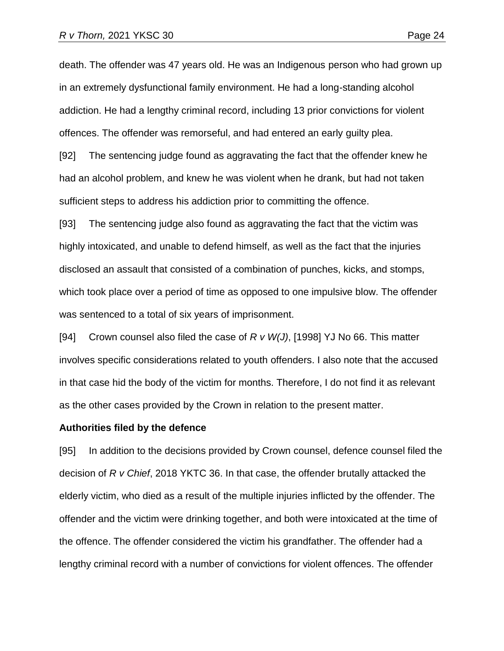death. The offender was 47 years old. He was an Indigenous person who had grown up in an extremely dysfunctional family environment. He had a long-standing alcohol addiction. He had a lengthy criminal record, including 13 prior convictions for violent offences. The offender was remorseful, and had entered an early guilty plea.

[92] The sentencing judge found as aggravating the fact that the offender knew he had an alcohol problem, and knew he was violent when he drank, but had not taken sufficient steps to address his addiction prior to committing the offence.

[93] The sentencing judge also found as aggravating the fact that the victim was highly intoxicated, and unable to defend himself, as well as the fact that the injuries disclosed an assault that consisted of a combination of punches, kicks, and stomps, which took place over a period of time as opposed to one impulsive blow. The offender was sentenced to a total of six years of imprisonment.

[94] Crown counsel also filed the case of *R v W(J)*, [1998] YJ No 66. This matter involves specific considerations related to youth offenders. I also note that the accused in that case hid the body of the victim for months. Therefore, I do not find it as relevant as the other cases provided by the Crown in relation to the present matter.

#### **Authorities filed by the defence**

[95] In addition to the decisions provided by Crown counsel, defence counsel filed the decision of *R v Chief*, 2018 YKTC 36. In that case, the offender brutally attacked the elderly victim, who died as a result of the multiple injuries inflicted by the offender. The offender and the victim were drinking together, and both were intoxicated at the time of the offence. The offender considered the victim his grandfather. The offender had a lengthy criminal record with a number of convictions for violent offences. The offender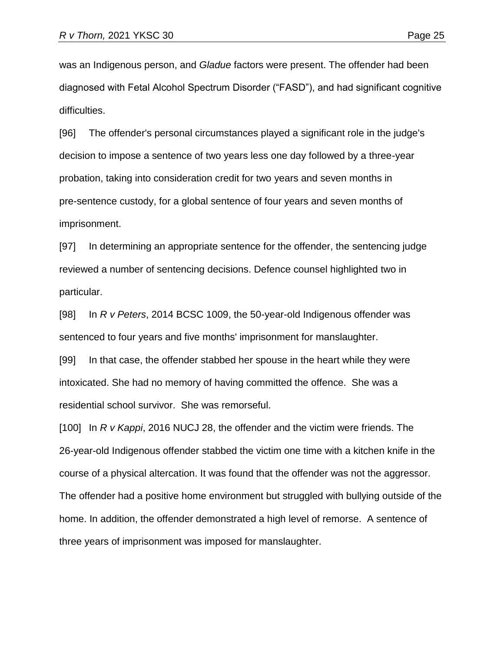was an Indigenous person, and *Gladue* factors were present. The offender had been diagnosed with Fetal Alcohol Spectrum Disorder ("FASD"), and had significant cognitive difficulties.

[96] The offender's personal circumstances played a significant role in the judge's decision to impose a sentence of two years less one day followed by a three-year probation, taking into consideration credit for two years and seven months in pre-sentence custody, for a global sentence of four years and seven months of imprisonment.

[97] In determining an appropriate sentence for the offender, the sentencing judge reviewed a number of sentencing decisions. Defence counsel highlighted two in particular.

[98] In *R v Peters*, 2014 BCSC 1009, the 50-year-old Indigenous offender was sentenced to four years and five months' imprisonment for manslaughter.

[99] In that case, the offender stabbed her spouse in the heart while they were intoxicated. She had no memory of having committed the offence. She was a residential school survivor. She was remorseful.

[100] In *R v Kappi*, 2016 NUCJ 28, the offender and the victim were friends. The 26-year-old Indigenous offender stabbed the victim one time with a kitchen knife in the course of a physical altercation. It was found that the offender was not the aggressor. The offender had a positive home environment but struggled with bullying outside of the home. In addition, the offender demonstrated a high level of remorse. A sentence of three years of imprisonment was imposed for manslaughter.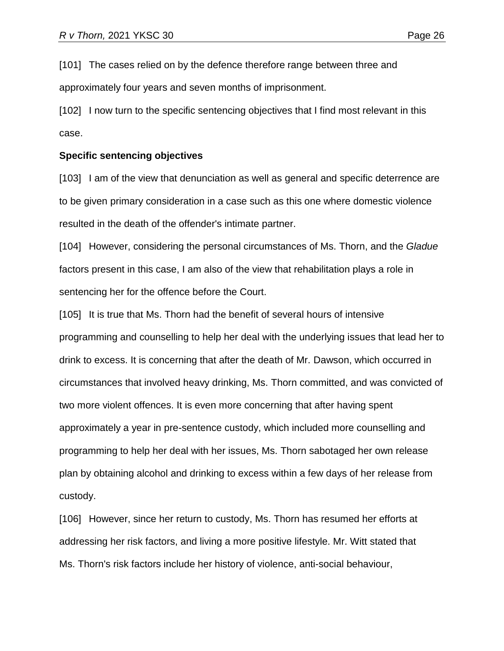[101] The cases relied on by the defence therefore range between three and approximately four years and seven months of imprisonment.

[102] I now turn to the specific sentencing objectives that I find most relevant in this case.

#### **Specific sentencing objectives**

[103] I am of the view that denunciation as well as general and specific deterrence are to be given primary consideration in a case such as this one where domestic violence resulted in the death of the offender's intimate partner.

[104] However, considering the personal circumstances of Ms. Thorn, and the *Gladue* factors present in this case, I am also of the view that rehabilitation plays a role in sentencing her for the offence before the Court.

[105] It is true that Ms. Thorn had the benefit of several hours of intensive programming and counselling to help her deal with the underlying issues that lead her to drink to excess. It is concerning that after the death of Mr. Dawson, which occurred in circumstances that involved heavy drinking, Ms. Thorn committed, and was convicted of two more violent offences. It is even more concerning that after having spent approximately a year in pre-sentence custody, which included more counselling and programming to help her deal with her issues, Ms. Thorn sabotaged her own release plan by obtaining alcohol and drinking to excess within a few days of her release from custody.

[106] However, since her return to custody, Ms. Thorn has resumed her efforts at addressing her risk factors, and living a more positive lifestyle. Mr. Witt stated that Ms. Thorn's risk factors include her history of violence, anti-social behaviour,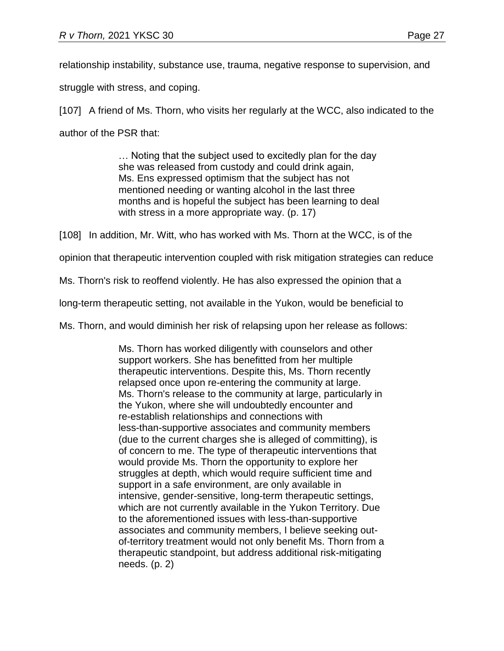relationship instability, substance use, trauma, negative response to supervision, and

struggle with stress, and coping.

[107] A friend of Ms. Thorn, who visits her regularly at the WCC, also indicated to the author of the PSR that:

> … Noting that the subject used to excitedly plan for the day she was released from custody and could drink again, Ms. Ens expressed optimism that the subject has not mentioned needing or wanting alcohol in the last three months and is hopeful the subject has been learning to deal with stress in a more appropriate way. (p. 17)

[108] In addition, Mr. Witt, who has worked with Ms. Thorn at the WCC, is of the

opinion that therapeutic intervention coupled with risk mitigation strategies can reduce

Ms. Thorn's risk to reoffend violently. He has also expressed the opinion that a

long-term therapeutic setting, not available in the Yukon, would be beneficial to

Ms. Thorn, and would diminish her risk of relapsing upon her release as follows:

Ms. Thorn has worked diligently with counselors and other support workers. She has benefitted from her multiple therapeutic interventions. Despite this, Ms. Thorn recently relapsed once upon re-entering the community at large. Ms. Thorn's release to the community at large, particularly in the Yukon, where she will undoubtedly encounter and re-establish relationships and connections with less-than-supportive associates and community members (due to the current charges she is alleged of committing), is of concern to me. The type of therapeutic interventions that would provide Ms. Thorn the opportunity to explore her struggles at depth, which would require sufficient time and support in a safe environment, are only available in intensive, gender-sensitive, long-term therapeutic settings, which are not currently available in the Yukon Territory. Due to the aforementioned issues with less-than-supportive associates and community members, I believe seeking outof-territory treatment would not only benefit Ms. Thorn from a therapeutic standpoint, but address additional risk-mitigating needs. (p. 2)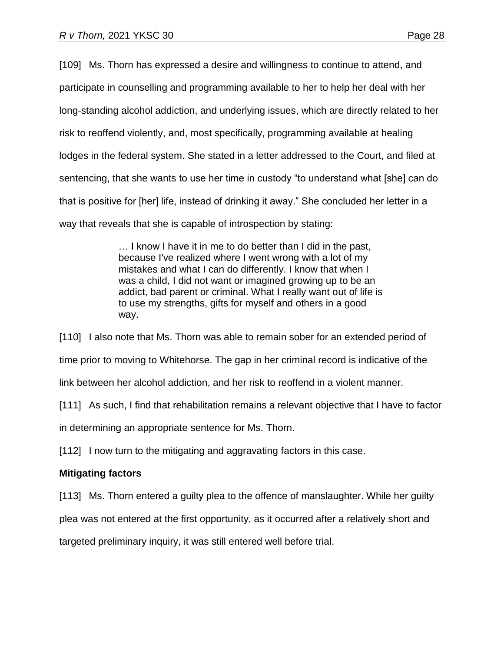[109] Ms. Thorn has expressed a desire and willingness to continue to attend, and participate in counselling and programming available to her to help her deal with her long-standing alcohol addiction, and underlying issues, which are directly related to her risk to reoffend violently, and, most specifically, programming available at healing lodges in the federal system. She stated in a letter addressed to the Court, and filed at sentencing, that she wants to use her time in custody "to understand what [she] can do that is positive for [her] life, instead of drinking it away." She concluded her letter in a way that reveals that she is capable of introspection by stating:

> … I know I have it in me to do better than I did in the past, because I've realized where I went wrong with a lot of my mistakes and what I can do differently. I know that when I was a child, I did not want or imagined growing up to be an addict, bad parent or criminal. What I really want out of life is to use my strengths, gifts for myself and others in a good way.

[110] I also note that Ms. Thorn was able to remain sober for an extended period of time prior to moving to Whitehorse. The gap in her criminal record is indicative of the link between her alcohol addiction, and her risk to reoffend in a violent manner.

[111] As such, I find that rehabilitation remains a relevant objective that I have to factor

in determining an appropriate sentence for Ms. Thorn.

[112] I now turn to the mitigating and aggravating factors in this case.

# **Mitigating factors**

[113] Ms. Thorn entered a guilty plea to the offence of manslaughter. While her quilty plea was not entered at the first opportunity, as it occurred after a relatively short and targeted preliminary inquiry, it was still entered well before trial.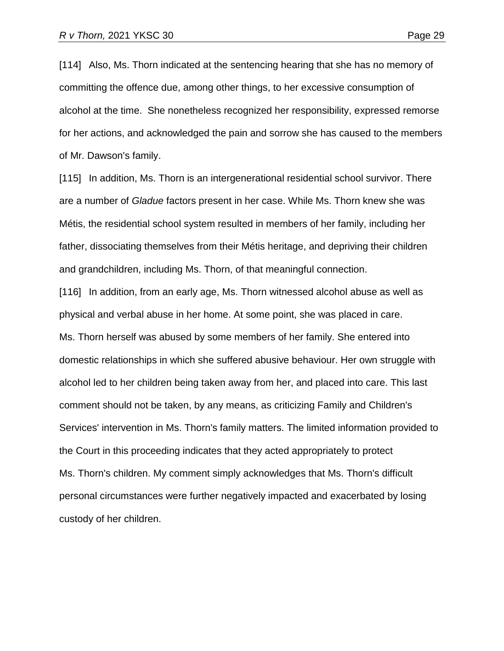[114] Also, Ms. Thorn indicated at the sentencing hearing that she has no memory of committing the offence due, among other things, to her excessive consumption of alcohol at the time. She nonetheless recognized her responsibility, expressed remorse for her actions, and acknowledged the pain and sorrow she has caused to the members of Mr. Dawson's family.

[115] In addition, Ms. Thorn is an intergenerational residential school survivor. There are a number of *Gladue* factors present in her case. While Ms. Thorn knew she was Métis, the residential school system resulted in members of her family, including her father, dissociating themselves from their Métis heritage, and depriving their children and grandchildren, including Ms. Thorn, of that meaningful connection.

[116] In addition, from an early age, Ms. Thorn witnessed alcohol abuse as well as physical and verbal abuse in her home. At some point, she was placed in care. Ms. Thorn herself was abused by some members of her family. She entered into domestic relationships in which she suffered abusive behaviour. Her own struggle with alcohol led to her children being taken away from her, and placed into care. This last comment should not be taken, by any means, as criticizing Family and Children's Services' intervention in Ms. Thorn's family matters. The limited information provided to the Court in this proceeding indicates that they acted appropriately to protect Ms. Thorn's children. My comment simply acknowledges that Ms. Thorn's difficult personal circumstances were further negatively impacted and exacerbated by losing custody of her children.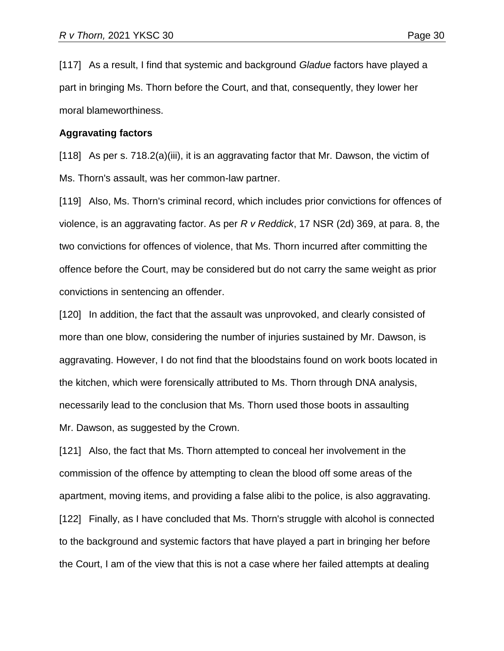[117] As a result, I find that systemic and background *Gladue* factors have played a part in bringing Ms. Thorn before the Court, and that, consequently, they lower her moral blameworthiness.

#### **Aggravating factors**

[118] As per s. 718.2(a)(iii), it is an aggravating factor that Mr. Dawson, the victim of Ms. Thorn's assault, was her common-law partner.

[119] Also, Ms. Thorn's criminal record, which includes prior convictions for offences of violence, is an aggravating factor. As per *R v Reddick*, 17 NSR (2d) 369, at para. 8, the two convictions for offences of violence, that Ms. Thorn incurred after committing the offence before the Court, may be considered but do not carry the same weight as prior convictions in sentencing an offender.

[120] In addition, the fact that the assault was unprovoked, and clearly consisted of more than one blow, considering the number of injuries sustained by Mr. Dawson, is aggravating. However, I do not find that the bloodstains found on work boots located in the kitchen, which were forensically attributed to Ms. Thorn through DNA analysis, necessarily lead to the conclusion that Ms. Thorn used those boots in assaulting Mr. Dawson, as suggested by the Crown.

[121] Also, the fact that Ms. Thorn attempted to conceal her involvement in the commission of the offence by attempting to clean the blood off some areas of the apartment, moving items, and providing a false alibi to the police, is also aggravating. [122] Finally, as I have concluded that Ms. Thorn's struggle with alcohol is connected to the background and systemic factors that have played a part in bringing her before the Court, I am of the view that this is not a case where her failed attempts at dealing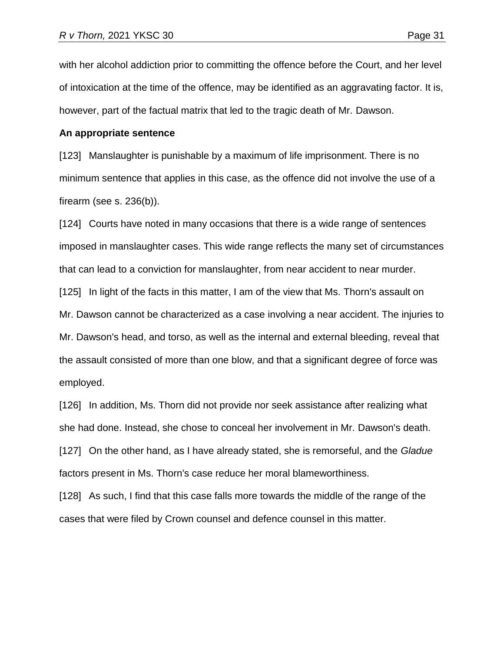with her alcohol addiction prior to committing the offence before the Court, and her level of intoxication at the time of the offence, may be identified as an aggravating factor. It is,

however, part of the factual matrix that led to the tragic death of Mr. Dawson.

### **An appropriate sentence**

[123] Manslaughter is punishable by a maximum of life imprisonment. There is no minimum sentence that applies in this case, as the offence did not involve the use of a firearm (see s. 236(b)).

[124] Courts have noted in many occasions that there is a wide range of sentences imposed in manslaughter cases. This wide range reflects the many set of circumstances that can lead to a conviction for manslaughter, from near accident to near murder.

[125] In light of the facts in this matter, I am of the view that Ms. Thorn's assault on Mr. Dawson cannot be characterized as a case involving a near accident. The injuries to Mr. Dawson's head, and torso, as well as the internal and external bleeding, reveal that the assault consisted of more than one blow, and that a significant degree of force was employed.

[126] In addition, Ms. Thorn did not provide nor seek assistance after realizing what she had done. Instead, she chose to conceal her involvement in Mr. Dawson's death. [127] On the other hand, as I have already stated, she is remorseful, and the *Gladue* factors present in Ms. Thorn's case reduce her moral blameworthiness.

[128] As such, I find that this case falls more towards the middle of the range of the cases that were filed by Crown counsel and defence counsel in this matter.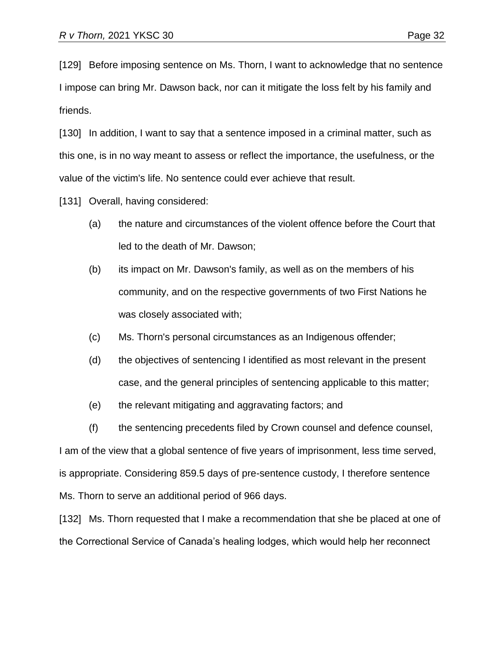[129] Before imposing sentence on Ms. Thorn, I want to acknowledge that no sentence I impose can bring Mr. Dawson back, nor can it mitigate the loss felt by his family and friends.

[130] In addition, I want to say that a sentence imposed in a criminal matter, such as this one, is in no way meant to assess or reflect the importance, the usefulness, or the value of the victim's life. No sentence could ever achieve that result.

[131] Overall, having considered:

- (a) the nature and circumstances of the violent offence before the Court that led to the death of Mr. Dawson;
- (b) its impact on Mr. Dawson's family, as well as on the members of his community, and on the respective governments of two First Nations he was closely associated with;
- (c) Ms. Thorn's personal circumstances as an Indigenous offender;
- (d) the objectives of sentencing I identified as most relevant in the present case, and the general principles of sentencing applicable to this matter;
- (e) the relevant mitigating and aggravating factors; and
- (f) the sentencing precedents filed by Crown counsel and defence counsel,

I am of the view that a global sentence of five years of imprisonment, less time served, is appropriate. Considering 859.5 days of pre-sentence custody, I therefore sentence Ms. Thorn to serve an additional period of 966 days.

[132] Ms. Thorn requested that I make a recommendation that she be placed at one of the Correctional Service of Canada's healing lodges, which would help her reconnect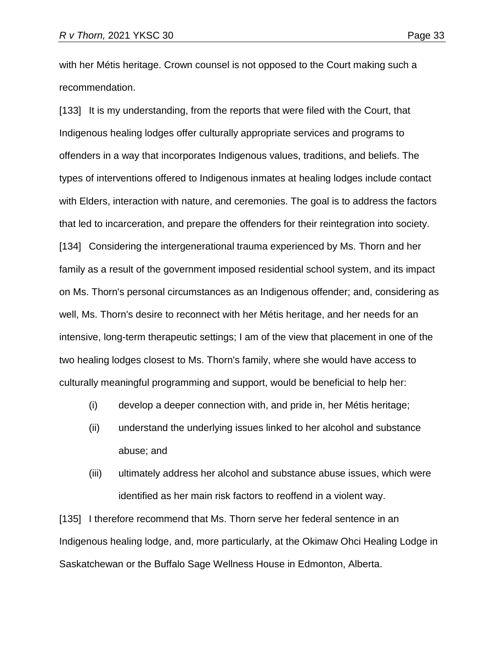with her Métis heritage. Crown counsel is not opposed to the Court making such a recommendation.

[133] It is my understanding, from the reports that were filed with the Court, that Indigenous healing lodges offer culturally appropriate services and programs to offenders in a way that incorporates Indigenous values, traditions, and beliefs. The types of interventions offered to Indigenous inmates at healing lodges include contact with Elders, interaction with nature, and ceremonies. The goal is to address the factors that led to incarceration, and prepare the offenders for their reintegration into society. [134] Considering the intergenerational trauma experienced by Ms. Thorn and her family as a result of the government imposed residential school system, and its impact on Ms. Thorn's personal circumstances as an Indigenous offender; and, considering as well, Ms. Thorn's desire to reconnect with her Métis heritage, and her needs for an intensive, long-term therapeutic settings; I am of the view that placement in one of the two healing lodges closest to Ms. Thorn's family, where she would have access to culturally meaningful programming and support, would be beneficial to help her:

- (i) develop a deeper connection with, and pride in, her Métis heritage;
- (ii) understand the underlying issues linked to her alcohol and substance abuse; and
- (iii) ultimately address her alcohol and substance abuse issues, which were identified as her main risk factors to reoffend in a violent way.

[135] I therefore recommend that Ms. Thorn serve her federal sentence in an Indigenous healing lodge, and, more particularly, at the Okimaw Ohci Healing Lodge in Saskatchewan or the Buffalo Sage Wellness House in Edmonton, Alberta.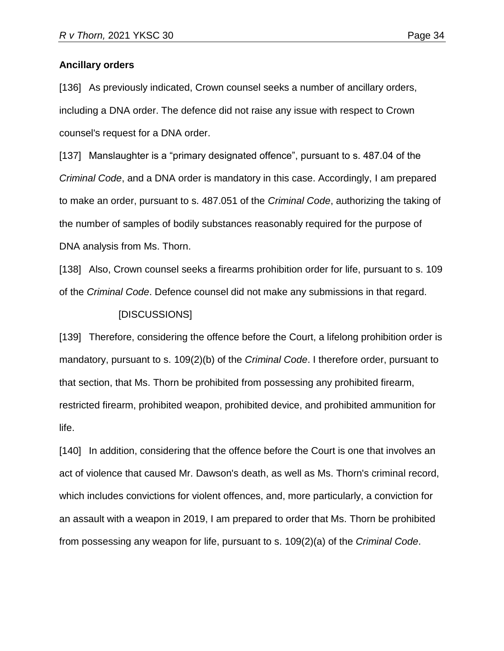### **Ancillary orders**

[136] As previously indicated, Crown counsel seeks a number of ancillary orders, including a DNA order. The defence did not raise any issue with respect to Crown counsel's request for a DNA order.

[137] Manslaughter is a "primary designated offence", pursuant to s. 487.04 of the *Criminal Code*, and a DNA order is mandatory in this case. Accordingly, I am prepared to make an order, pursuant to s. 487.051 of the *Criminal Code*, authorizing the taking of the number of samples of bodily substances reasonably required for the purpose of DNA analysis from Ms. Thorn.

[138] Also, Crown counsel seeks a firearms prohibition order for life, pursuant to s. 109 of the *Criminal Code*. Defence counsel did not make any submissions in that regard.

### [DISCUSSIONS]

[139] Therefore, considering the offence before the Court, a lifelong prohibition order is mandatory, pursuant to s. 109(2)(b) of the *Criminal Code*. I therefore order, pursuant to that section, that Ms. Thorn be prohibited from possessing any prohibited firearm, restricted firearm, prohibited weapon, prohibited device, and prohibited ammunition for life.

[140] In addition, considering that the offence before the Court is one that involves an act of violence that caused Mr. Dawson's death, as well as Ms. Thorn's criminal record, which includes convictions for violent offences, and, more particularly, a conviction for an assault with a weapon in 2019, I am prepared to order that Ms. Thorn be prohibited from possessing any weapon for life, pursuant to s. 109(2)(a) of the *Criminal Code*.